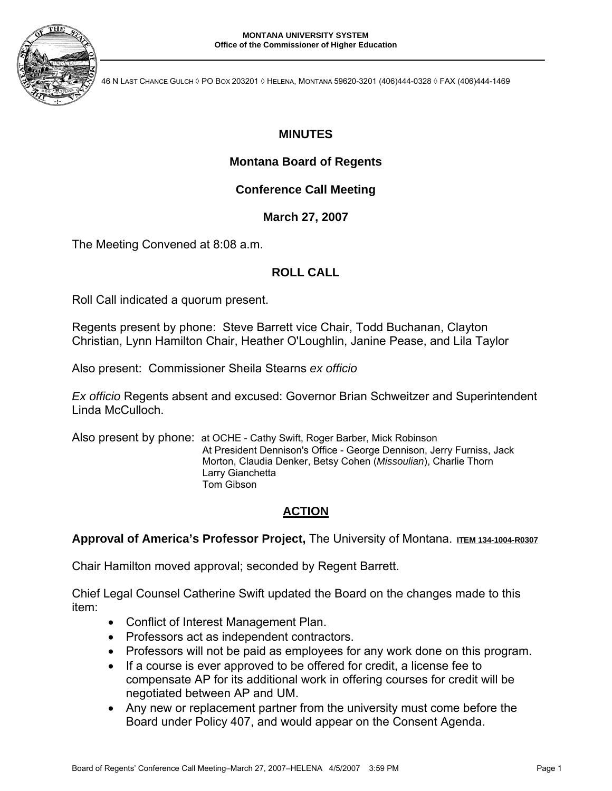

46 N LAST CHANCE GULCH ◊ PO BOX 203201 ◊ HELENA, MONTANA 59620-3201 (406)444-0328 ◊ FAX (406)444-1469

# **MINUTES**

## **Montana Board of Regents**

## **Conference Call Meeting**

**March 27, 2007**

The Meeting Convened at 8:08 a.m.

## **ROLL CALL**

Roll Call indicated a quorum present.

Regents present by phone: Steve Barrett vice Chair, Todd Buchanan, Clayton Christian, Lynn Hamilton Chair, Heather O'Loughlin, Janine Pease, and Lila Taylor

Also present: Commissioner Sheila Stearns *ex officio* 

*Ex officio* Regents absent and excused: Governor Brian Schweitzer and Superintendent Linda McCulloch.

Also present by phone: at OCHE - Cathy Swift, Roger Barber, Mick Robinson At President Dennison's Office - George Dennison, Jerry Furniss, Jack Morton, Claudia Denker, Betsy Cohen (*Missoulian*), Charlie Thorn Larry Gianchetta Tom Gibson

## **ACTION**

## Approval of America's Professor Project, The University of Montana. ITEM 134-1004-R0307

Chair Hamilton moved approval; seconded by Regent Barrett.

Chief Legal Counsel Catherine Swift updated the Board on the changes made to this item:

- Conflict of Interest Management Plan.
- Professors act as independent contractors.
- Professors will not be paid as employees for any work done on this program.
- If a course is ever approved to be offered for credit, a license fee to compensate AP for its additional work in offering courses for credit will be negotiated between AP and UM.
- Any new or replacement partner from the university must come before the Board under Policy 407, and would appear on the Consent Agenda.